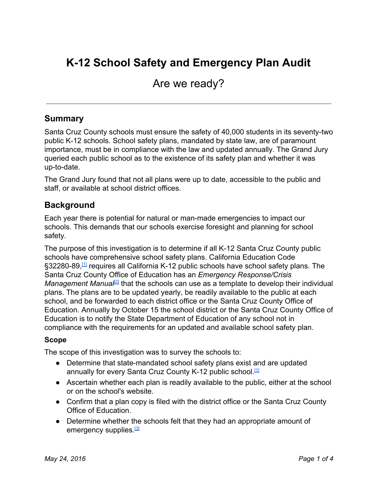# **K12 School Safety and Emergency Plan Audit**

# Are we ready?

#### **Summary**

Santa Cruz County schools must ensure the safety of 40,000 students in its seventy-two public K12 schools. School safety plans, mandated by state law, are of paramount importance, must be in compliance with the law and updated annually. The Grand Jury queried each public school as to the existence of its safety plan and whether it was up-to-date.

The Grand Jury found that not all plans were up to date, accessible to the public and staff, or available at school district offices.

#### **Background**

Each year there is potential for natural or manmade emergencies to impact our schools. This demands that our schools exercise foresight and planning for school safety.

The purpose of this investigation is to determine if all K-12 Santa Cruz County public schools have comprehensive school safety plans. California Education Code §32280-89,<sup>[\[1\]](http://www.leginfo.ca.gov/cgi-bin/displaycode?section=edc&group=32001-33000&file=32280-32289)</sup> requires all California K-12 public schools have school safety plans. The Santa Cruz County Office of Education has an *Emergency Response/Crisis Management Manual<sup>[\[2\]](http://www.santacruz.k12.ca.us/school_safety/emergency_response_manual_pdfs/ERCM-Manual-Full.pdf)</sup>* that the schools can use as a template to develop their individual plans. The plans are to be updated yearly, be readily available to the public at each school, and be forwarded to each district office or the Santa Cruz County Office of Education. Annually by October 15 the school district or the Santa Cruz County Office of Education is to notify the State Department of Education of any school not in compliance with the requirements for an updated and available school safety plan.

#### **Scope**

The scope of this investigation was to survey the schools to:

- Determine that state-mandated school safety plans exist and are updated annually for every Santa Cruz County K-12 public school.<sup>[\[1\]](http://www.leginfo.ca.gov/cgi-bin/displaycode?section=edc&group=32001-33000&file=32280-32289)</sup>
- Ascertain whether each plan is readily available to the public, either at the school or on the school's website.
- Confirm that a plan copy is filed with the district office or the Santa Cruz County Office of Education.
- Determine whether the schools felt that they had an appropriate amount of emergency supplies.<sup>[\[3\]](http://www.santacruzcoe.org/school_safety/emergency_response_manual_pdfs/ERCM-Manual-Full.pdf)</sup>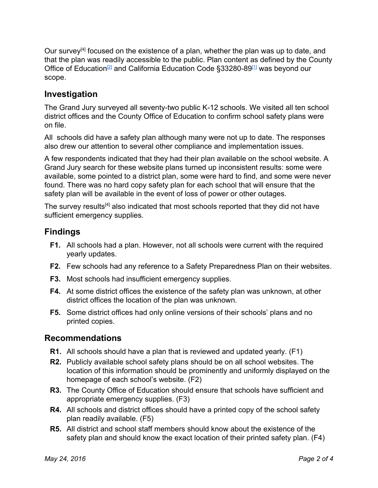Our survey<sup>[4]</sup> focused on the existence of a plan, whether the plan was up to date, and that the plan was readily accessible to the public. Plan content as defined by the County Office of Education<sup>[\[2\]](http://www.santacruz.k12.ca.us/school_safety/emergency_response_manual_pdfs/ERCM-Manual-Full.pdf)</sup> and California Education Code §33280-89<sup>[\[1\]](http://www.leginfo.ca.gov/cgi-bin/displaycode?section=edc&group=32001-33000&file=32280-32289)</sup> was beyond our scope.

### **Investigation**

The Grand Jury surveyed all seventy-two public K-12 schools. We visited all ten school district offices and the County Office of Education to confirm school safety plans were on file.

All schools did have a safety plan although many were not up to date. The responses also drew our attention to several other compliance and implementation issues.

A few respondents indicated that they had their plan available on the school website. A Grand Jury search for these website plans turned up inconsistent results: some were available, some pointed to a district plan, some were hard to find, and some were never found. There was no hard copy safety plan for each school that will ensure that the safety plan will be available in the event of loss of power or other outages.

The survey results<sup>[4]</sup> also indicated that most schools reported that they did not have sufficient emergency supplies.

# **Findings**

- **F1.** All schools had a plan. However, not all schools were current with the required yearly updates.
- **F2.** Few schools had any reference to a Safety Preparedness Plan on their websites.
- **F3.** Most schools had insufficient emergency supplies.
- **F4.** At some district offices the existence of the safety plan was unknown, at other district offices the location of the plan was unknown.
- **F5.** Some district offices had only online versions of their schools' plans and no printed copies.

#### **Recommendations**

- **R1.** All schools should have a plan that is reviewed and updated yearly. (F1)
- **R2.** Publicly available school safety plans should be on all school websites. The location of this information should be prominently and uniformly displayed on the homepage of each school's website. (F2)
- **R3.** The County Office of Education should ensure that schools have sufficient and appropriate emergency supplies. (F3)
- **R4.** All schools and district offices should have a printed copy of the school safety plan readily available. (F5)
- **R5.** All district and school staff members should know about the existence of the safety plan and should know the exact location of their printed safety plan. (F4)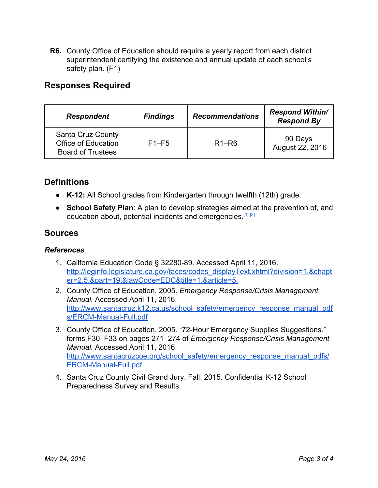**R6.** County Office of Education should require a yearly report from each district superintendent certifying the existence and annual update of each school's safety plan. (F1)

### **Responses Required**

| <b>Respondent</b>                                                                  | <b>Findings</b> | <b>Recommendations</b> | <b>Respond Within/</b><br><b>Respond By</b> |
|------------------------------------------------------------------------------------|-----------------|------------------------|---------------------------------------------|
| <b>Santa Cruz County</b><br><b>Office of Education</b><br><b>Board of Trustees</b> | $F1-F5$         | $R1-R6$                | 90 Days<br>August 22, 2016                  |

# **Definitions**

- **K12:**All School grades from Kindergarten through twelfth (12th) grade.
- **● School Safety Plan**: A plan to develop strategies aimed at the prevention of, and education about, potential incidents and emergencies.<sup>[\[1\]](http://leginfo.legislature.ca.gov/faces/codes_displaySection.xhtml?sectionNum=32280.&lawCode=EDC)[\[2\]](http://www.santacruz.k12.ca.us/school_safety/emergency_response_manual_pdfs/ERCM-Manual-Full.pdf)</sup>

#### **Sources**

#### *References*

- 1. California Education Code § 32280-89. Accessed April 11, 2016. [http://leginfo.legislature.ca.gov/faces/codes\\_displayText.xhtml?division=1.&chapt](http://leginfo.legislature.ca.gov/faces/codes_displayText.xhtml?division=1.&chapter=2.5.&part=19.&lawCode=EDC&title=1.&article=5.) [er=2.5.&part=19.&lawCode=EDC&title=1.&article=5.](http://leginfo.legislature.ca.gov/faces/codes_displayText.xhtml?division=1.&chapter=2.5.&part=19.&lawCode=EDC&title=1.&article=5.)
- 2. County Office of Education. 2005. *Emergency Response/Crisis Management Manual.* Accessed April 11, 2016. [http://www.santacruz.k12.ca.us/school\\_safety/emergency\\_response\\_manual\\_pdf](http://www.santacruz.k12.ca.us/school_safety/emergency_response_manual_pdfs/ERCM-Manual-Full.pdf) s/ERCM-Manual-Full.pdf
- 3. County Office of Education. 2005. "72-Hour Emergency Supplies Suggestions." forms F30–F33 on pages 271–274 of *Emergency Response/Crisis Management Manual.* Accessed April 11, 2016. [http://www.santacruzcoe.org/school\\_safety/emergency\\_response\\_manual\\_pdfs/](http://www.santacruzcoe.org/school_safety/emergency_response_manual_pdfs/ERCM-Manual-Full.pdf) ERCM-Manual-Full.pdf
- 4. Santa Cruz County Civil Grand Jury. Fall, 2015. Confidential K-12 School Preparedness Survey and Results.